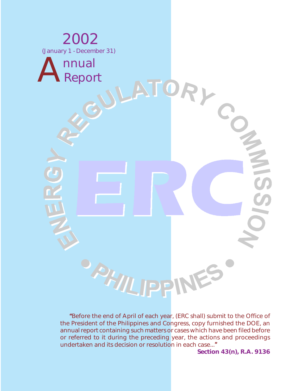

"Before the end of April of each year, (ERC shall) submit to the Office of the President of the Philippines and Congress, copy furnished the DOE, an annual report containing such matters or cases which have been filed before or referred to it during the preceding year, the actions and proceedings undertaken and its decision or resolution in each case..."

**Section 43(n), R.A. 9136**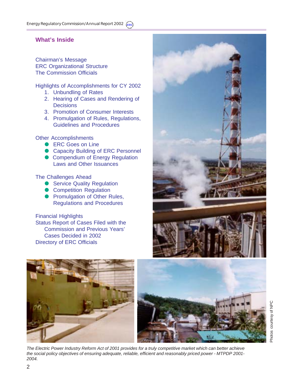# **What's Inside**

Chairman's Message ERC Organizational Structure The Commission Officials

Highlights of Accomplishments for CY 2002

- 1. Unbundling of Rates
- 2. Hearing of Cases and Rendering of **Decisions**
- 3. Promotion of Consumer Interests
- 4. Promulgation of Rules, Regulations, Guidelines and Procedures

Other Accomplishments

- ERC Goes on Line
- **Capacity Building of ERC Personnel**
- **Compendium of Energy Regulation** Laws and Other Issuances

The Challenges Ahead

- **Service Quality Regulation**
- **Competition Regulation**
- **Promulgation of Other Rules,** Regulations and Procedures

Financial Highlights Status Report of Cases Filed with the Commission and Previous Years' Cases Decided in 2002 Directory of ERC Officials









*The Electric Power Industry Reform Act of 2001 provides for a truly competitive market which can better achieve the social policy objectives of ensuring adequate, reliable, efficient and reasonably priced power - MTPDP 2001- 2004.*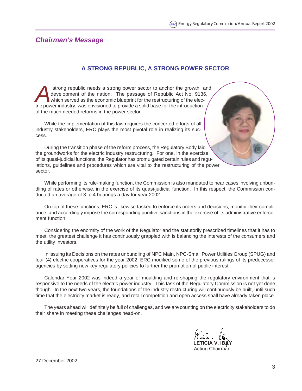# *Chairman's Message*

# **A STRONG REPUBLIC, A STRONG POWER SECTOR**

strong republic needs a strong power sector to anchor the growth and development of the nation. The passage of Republic Act No. 9136, which served as the economic blueprint for the restructuring of the electric power indus development of the nation. The passage of Republic Act No. 9136, which served as the economic blueprint for the restructuring of the electric power industry, was envisioned to provide a solid base for the introduction of the much needed reforms in the power sector.

While the implementation of this law requires the concerted efforts of all industry stakeholders, ERC plays the most pivotal role in realizing its success.

During the transition phase of the reform process, the Regulatory Body laid the groundworks for the electric industry restructuring. For one, in the exercise of its quasi-judicial functions, the Regulator has promulgated certain rules and regulations, guidelines and procedures which are vital to the restructuring of the power sector.

While performing its rule-making function, the Commission is also mandated to hear cases involving unbundling of rates or otherwise, in the exercise of its quasi-judicial function. In this respect, the Commission conducted an average of 3 to 4 hearings a day for year 2002.

On top of these functions, ERC is likewise tasked to enforce its orders and decisions, monitor their compliance, and accordingly impose the corresponding punitive sanctions in the exercise of its administrative enforcement function.

Considering the enormity of the work of the Regulator and the statutorily prescribed timelines that it has to meet, the greatest challenge it has continuously grappled with is balancing the interests of the consumers and the utility investors.

In issuing its Decisions on the rates unbundling of NPC Main, NPC-Small Power Utilities Group (SPUG) and four (4) electric cooperatives for the year 2002, ERC modified some of the previous rulings of its predecessor agencies by setting new key regulatory policies to further the promotion of public interest.

Calendar Year 2002 was indeed a year of moulding and re-shaping the regulatory environment that is responsive to the needs of the electric power industry. This task of the Regulatory Commission is not yet done though. In the next two years, the foundations of the industry restructuring will continuously be built, until such time that the electricity market is ready, and retail competition and open access shall have already taken place.

The years ahead will definitely be full of challenges, and we are counting on the electricity stakeholders to do their share in meeting these challenges head-on.

 **LETICIA V. IBAY**

Acting Chairman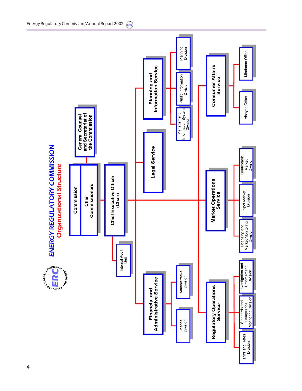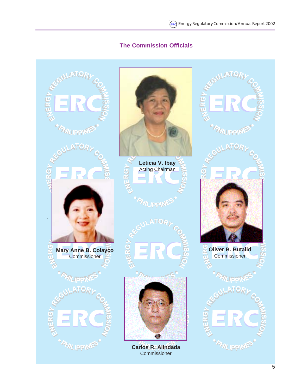# **The Commission Officials**

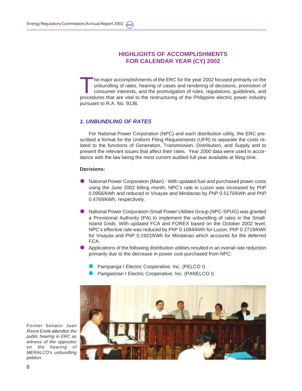# **HIGHLIGHTS OF ACCOMPLISHMENTS FOR CALENDAR YEAR (CY) 2002**

Ine major accomplishments of the ERC for the year 2002 focused primarily on the unbundling of rates, hearing of cases and rendering of decisions, promotion of consumer interests, and the promulgation of rules, regulations, guidelines, and procedures that are vital to the restructuring of the Philippine electric power industry pursuant to R.A. No. 9136.

### *1. UNBUNDLING OF RATES*

For National Power Corporation (NPC) and each distribution utility, the ERC prescribed a format for the Uniform Filing Requirements (UFR) to separate the costs related to the functions of Generation, Transmission, Distribution, and Supply and to present the relevant issues that affect their rates. Year 2000 data were used in accordance with the law being the most current audited full year available at filing time.

#### **Decisions:**

- National Power Corporation (Main) With updated fuel and purchased power costs using the June 2002 billing month, NPC's rate in Luzon was increased by PhP 0.0956/kWh and reduced in Visayas and Mindanao by PhP 0.5170/kWh and PhP 0.4769/kWh, respectively.
- ! National Power Corporation-Small Power Utilities Group (NPC-SPUG) was granted a Provisional Authority (PA) to implement the unbundling of rates in the Small-Island Grids. With updated FCA and FOREX based on the October 2002 level, NPC's effective rate was reduced by PhP 0.1084/kWh for Luzon, PhP 0.2719/kWh for Visayas and PhP 0.1922/kWh for Mindanao which accounts for the deferred FCA.
- ! Applications of the following distribution utilities resulted in an overall rate reduction primarily due to the decrease in power cost purchased from NPC:
	- Pampanga I Electric Cooperative, Inc. (PELCO I)
	- Pangasinan I Electric Cooperative, Inc. (PANELCO I)



*Former Senator Juan Ponce Enrile attended the public hearing in ERC as witness of the oppositor on the hearing of MERALCO's unbundling petition.*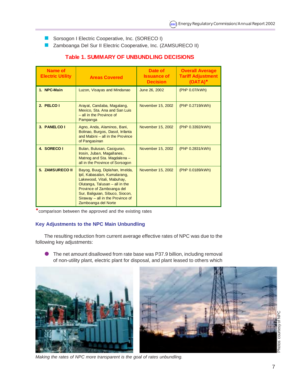- **B** Sorsogon I Electric Cooperative, Inc. (SORECO I)
- **E** Zamboanga Del Sur II Electric Cooperative, Inc. (ZAMSURECO II)

| Name of<br><b>Electric Utility</b> | <b>Areas Covered</b>                                                                                                                                                                                                                                          | Date of<br><b>Issuance of</b><br><b>Decision</b> | <b>Overall Average</b><br><b>Tariff Adjustment</b><br>$(OATA)*$ |  |
|------------------------------------|---------------------------------------------------------------------------------------------------------------------------------------------------------------------------------------------------------------------------------------------------------------|--------------------------------------------------|-----------------------------------------------------------------|--|
| 1. NPC-Main                        | Luzon, Visayas and Mindanao                                                                                                                                                                                                                                   | June 26, 2002                                    | (PhP 0.07/kWh)                                                  |  |
| 2. PELCO I                         | Arayat, Candaba, Magalang,<br>Mexico, Sta. Ana and San Luis<br>- all in the Province of<br>Pampanga                                                                                                                                                           | November 15, 2002                                | (PhP 0.2719/kWh)                                                |  |
| 3. PANELCO I                       | Agno, Anda, Alaminos, Bani,<br>Bolinao, Burgos, Dasol, Infanta<br>and Mabini - all in the Province<br>of Pangasinan                                                                                                                                           | November 15, 2002                                | (PhP 0.3392/kWh)                                                |  |
| 4. SORECO I                        | Bulan, Bulusan, Casiguran,<br>Irosin, Juban, Magallanes,<br>Matnog and Sta. Magdalena -<br>all in the Province of Sorsogon                                                                                                                                    | November 15, 2002                                | (PhP 0.2831/kWh)                                                |  |
| <b>5. ZAMSURECO II</b>             | Bayog, Buug, Diplahan, Imelda,<br>Ipil, Kabasalan, Kumalarang,<br>Lakewood, Vitali, Mabuhay,<br>Olutanga, Talusan $-$ all in the<br>Province of Zamboanga del<br>Sur, Baliguian, Sibuco, Siocon,<br>Siraway $-$ all in the Province of<br>Zamboanga del Norte | November 15, 2002                                | (PhP 0.0189/kWh)                                                |  |

# **Table 1. SUMMARY OF UNBUNDLING DECISIONS**

"comparison between the approved and the existing rates

## **Key Adjustments to the NPC Main Unbundling**

The resulting reduction from current average effective rates of NPC was due to the following key adjustments:

The net amount disallowed from rate base was P37.9 billion, including removal of non-utility plant, electric plant for disposal, and plant leased to others which



*Making the rates of NPC more transparent is the goal of rates unbundling.*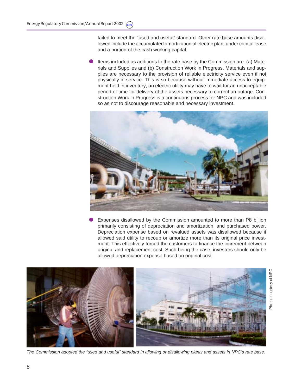failed to meet the "used and useful" standard. Other rate base amounts disallowed include the accumulated amortization of electric plant under capital lease and a portion of the cash working capital.

Items included as additions to the rate base by the Commission are: (a) Materials and Supplies and (b) Construction Work in Progress. Materials and supplies are necessary to the provision of reliable electricity service even if not physically in service. This is so because without immediate access to equipment held in inventory, an electric utility may have to wait for an unacceptable period of time for delivery of the assets necessary to correct an outage. Construction Work in Progress is a continuous process for NPC and was included so as not to discourage reasonable and necessary investment.



Expenses disallowed by the Commission amounted to more than P8 billion primarily consisting of depreciation and amortization, and purchased power. Depreciation expense based on revalued assets was disallowed because it allowed said utility to recoup or amortize more than its original price investment. This effectively forced the customers to finance the increment between original and replacement cost. Such being the case, investors should only be allowed depreciation expense based on original cost.



*The Commission adopted the "used and useful" standard in allowing or disallowing plants and assets in NPC's rate base.*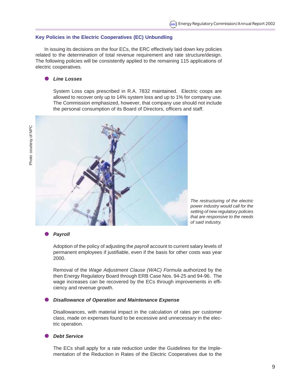#### **Key Policies in the Electric Cooperatives (EC) Unbundling**

In issuing its decisions on the four ECs, the ERC effectively laid down key policies related to the determination of total revenue requirement and rate structure/design. The following policies will be consistently applied to the remaining 115 applications of electric cooperatives.

### ! *Line Losses*

System Loss caps prescribed in R.A. 7832 maintained. Electric coops are allowed to recover only up to 14% system loss and up to 1% for company use. The Commission emphasized, however, that company use should not include the personal consumption of its Board of Directors, officers and staff.



*The restructuring of the electric power industry would call for the setting of new regulatory policies that are responsive to the needs of said industry.*

#### ! *Payroll*

Adoption of the policy of adjusting the *payroll* account to current salary levels of permanent employees if justifiable, even if the basis for other costs was year 2000.

Removal of the *Wage Adjustment Clause (WAC) Formula* authorized by the then Energy Regulatory Board through ERB Case Nos. 94-25 and 94-96. The wage increases can be recovered by the ECs through improvements in efficiency and revenue growth.

#### ! *Disallowance of Operation and Maintenance Expense*

Disallowances, with material impact in the calculation of rates per customer class, made on expenses found to be excessive and unnecessary in the electric operation.

#### ! *Debt Service*

The ECs shall apply for a rate reduction under the Guidelines for the Implementation of the Reduction in Rates of the Electric Cooperatives due to the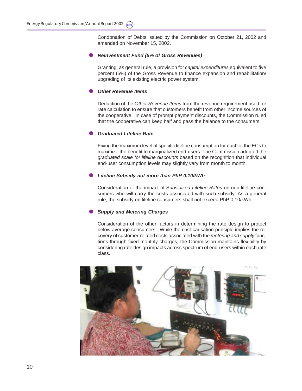Condonation of Debts issued by the Commission on October 21, 2002 and amended on November 15, 2002.

#### ! *Reinvestment Fund (5% of Gross Revenues)*

Granting, as general rule, a provision for *capital expenditures* equivalent to five percent (5%) of the Gross Revenue to finance expansion and rehabilitation/ upgrading of its existing electric power system.

#### ! *Other Revenue Items*

Deduction of the *Other Revenue Items* from the revenue requirement used for rate calculation to ensure that customers benefit from other income sources of the cooperative. In case of prompt payment discounts, the Commission ruled that the cooperative can keep half and pass the balance to the consumers.

## ! *Graduated Lifeline Rate*

Fixing the maximum level of specific lifeline consumption for each of the ECs to maximize the benefit to marginalized end-users. The Commission adopted the *graduated scale for lifeline discounts* based on the recognition that individual end-user consumption levels may slightly vary from month to month.

#### ! *Lifeline Subsidy not more than PhP 0.10/kWh*

Consideration of the impact of S*ubsidized Lifeline Rates* on non-lifeline consumers who will carry the costs associated with such subsidy. As a general rule, the subsidy on lifeline consumers shall not exceed PhP 0.10/kWh.

#### ! *Supply and Metering Charges*

Consideration of the other factors in determining the rate design to protect below average consumers. While the cost-causation principle implies the recovery of customer-related costs associated with the *metering and supply* functions through fixed monthly charges, the Commission maintains flexibility by considering rate design impacts across spectrum of end-users within each rate class.

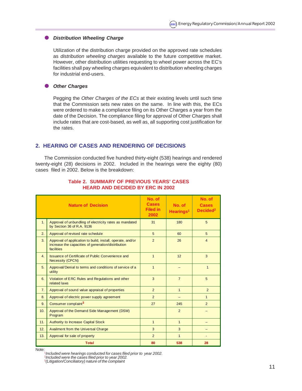### $\bullet$  Distribution Wheeling Charge

Utilization of the distribution charge provided on the approved rate schedules as *distribution wheeling charges* available to the future competitive market. However, other distribution utilities requesting to wheel power across the EC's facilities shall pay wheeling charges equivalent to distribution wheeling charges for industrial end-users.

#### ! *Other Charges*

Pegging the *Other Charges of the ECs* at their existing levels until such time that the Commission sets new rates on the same. In line with this, the ECs were ordered to make a compliance filing on its Other Charges a year from the date of the Decision. The compliance filing for approval of Other Charges shall include rates that are cost-based, as well as, all supporting cost justification for the rates.

## **2. HEARING OF CASES AND RENDERING OF DECISIONS**

The Commission conducted five hundred thirty-eight (538) hearings and rendered twenty-eight (28) decisions in 2002. Included in the hearings were the eighty (80) cases filed in 2002. Below is the breakdown:

|                | <b>Nature of Decision</b>                                                                                                      | No. of<br><b>Cases</b><br><b>Filed in</b><br>2002 | No. of<br>Hearings <sup>1</sup> | No. of<br><b>Cases</b><br>Decided <sup>2</sup> |
|----------------|--------------------------------------------------------------------------------------------------------------------------------|---------------------------------------------------|---------------------------------|------------------------------------------------|
| 1.             | Approval of unbundling of electricity rates as mandated<br>by Section 36 of R.A. 9136                                          | 31                                                | 180                             | 5                                              |
| 2.             | Approval of revised rate schedule                                                                                              | 5                                                 | 60                              | 5                                              |
| 3 <sub>l</sub> | Approval of application to build, install, operate, and/or<br>increase the capacities of generation/distribution<br>facilities | $\overline{2}$                                    | 26                              | $\overline{4}$                                 |
| 4.             | Issuance of Certificate of Public Convenience and<br><b>Necessity (CPCN)</b>                                                   | $\mathbf{1}$                                      | 12                              | 3                                              |
| 5.             | Approval/Denial to terms and conditions of service of a<br>utility                                                             | $\mathbf{1}$                                      |                                 | $\mathbf{1}$                                   |
| 6.             | Violation of ERC Rules and Regulations and other<br>related laws                                                               | 3                                                 | $\overline{7}$                  | 5                                              |
| 7 <sub>1</sub> | Approval of sound value appraisal of properties                                                                                | $\overline{2}$                                    | $\mathbf{1}$                    | 2                                              |
| 8.             | Approval of electric power supply agreement                                                                                    | 2                                                 |                                 | $\mathbf{1}$                                   |
| 9.             | Consumer complaint <sup>3</sup>                                                                                                | 27                                                | 245                             | 2                                              |
| 10.            | Approval of the Demand Side Management (DSM)<br>Program                                                                        |                                                   | $\overline{2}$                  |                                                |
| 11.            | <b>Authority to Increase Capital Stock</b>                                                                                     | $\mathbf{1}$                                      | $\mathbf{1}$                    |                                                |
| 12.            | <b>Availment from the Universal Charge</b>                                                                                     | 3                                                 | 3                               |                                                |
| 13.            | Approval for sale of property                                                                                                  | $\overline{2}$                                    | $\mathbf{1}$                    |                                                |
|                | <b>Total</b>                                                                                                                   | 80                                                | 538                             | 28                                             |

### **Table 2. SUMMARY OF PREVIOUS YEARS' CASES HEARD AND DECIDED BY ERC IN 2002**

Note:

*Included were hearings conducted for cases filed prior to year 2002.*

2 *Included were the cases filed prior to year 2002.*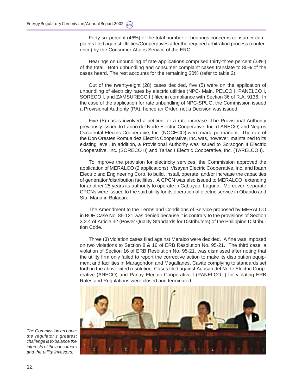Forty-six percent (46%) of the total number of hearings concerns consumer complaints filed against Utilities/Cooperatives after the required arbitration process (conference) by the Consumer Affairs Service of the ERC.

Hearings on unbundling of rate applications comprised thirty-three percent (33%) of the total. Both unbundling and consumer complaint cases translate to 80% of the cases heard. The rest accounts for the remaining 20% (refer to table 2).

Out of the twenty-eight (28) cases decided, five (5) were on the application of unbundling of electricity rates by electric utilities (NPC- Main, PELCO I, PANELCO I, SORECO I, and ZAMSURECO II) filed in compliance with Section 36 of R.A. 9136. In the case of the application for rate unbundling of NPC-SPUG, the Commission issued a Provisional Authority (PA); hence an Order, not a Decision was issued.

Five (5) cases involved a petition for a rate increase. The Provisional Authority previously issued to Lanao del Norte Electric Cooperative, Inc. (LANECO) and Negros Occidental Electric Cooperative, Inc. (NOCECO) were made permanent. The rate of the Don Orestes Romualdez Electric Cooperative, Inc. was, however, maintained to its existing level. In addition, a Provisional Authority was issued to Sorsogon II Electric Cooperative, Inc. (SORECO II) and Tarlac I Electric Cooperative, Inc. (TARELCO I).

To improve the provision for electricity services, the Commission approved the application of MERALCO (2 applications), Visayan Electric Cooperative, Inc. and Ibaan Electric and Engineering Corp. to build, install, operate, and/or increase the capacities of generation/distribution facilities. A CPCN was also issued to MERALCO, extending for another 25 years its authority to operate in Cabuyao, Laguna. Moreover, separate CPCNs were issued to the said utility for its operation of electric service in Obando and Sta. Maria in Bulacan.

The Amendment to the Terms and Conditions of Service proposed by MERALCO in BOE Case No. 85-121 was denied because it is contrary to the provisions of Section 3.2.4 of Article 32 (Power Quality Standards for Distributors) of the Philippine Distribution Code.

Three (3) violation cases filed against Meralco were decided. A fine was imposed on two violations to Section 8 & 16 of ERB Resolution No. 95-21. The third case, a violation of Section 16 of ERB Resolution No. 95-21, was dismissed after noting that the utility firm only failed to report the corrective action to make its distribution equipment and facilities in Maragondon and Magallanes, Cavite complying to standards set forth in the above cited resolution. Cases filed against Agusan del Norte Electric Cooperative (ANECO) and Panay Electric Cooperative I (PANELCO I) for violating ERB Rules and Regulations were closed and terminated.



*The Commission en banc: the regulator's greatest challenge is to balance the interests of the consumers and the utility investors.*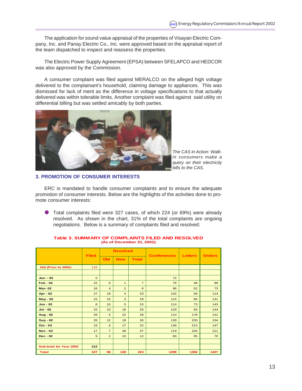The application for sound value appraisal of the properties of Visayan Electric Company, Inc. and Panay Electric Co., Inc. were approved based on the appraisal report of the team dispatched to inspect and reassess the properties.

The Electric Power Supply Agreement (EPSA) between SFELAPCO and HEDCOR was also approved by the Commission.

A consumer complaint was filed against MERALCO on the alleged high voltage delivered to the complainant's household, claiming damage to appliances. This was dismissed for lack of merit as the difference in voltage specifications to that actually delivered was within tolerable limits. Another complaint was filed against said utility on differential billing but was settled amicably by both parties.



*The CAS in Action: Walkin consumers make a query on their electricity bills to the CAS.*

## **3. PROMOTION OF CONSUMER INTERESTS**

ERC is mandated to handle consumer complaints and to ensure the adequate promotion of consumer interests. Below are the highlights of the activities done to promote consumer interests:

! Total complaints filed were 327 cases, of which 224 (or 69%) were already resolved. As shown in the chart, 31% of the total complaints are ongoing negotiations. Below is a summary of complaints filed and resolved:

|                         |              | <b>Resolved</b> |                 |                |                    |                |               |
|-------------------------|--------------|-----------------|-----------------|----------------|--------------------|----------------|---------------|
|                         | <b>Filed</b> | <b>Old</b>      | <b>New</b>      | <b>Total</b>   | <b>Conferences</b> | <b>Letters</b> | <b>Orders</b> |
| Old (Prior to 2002)     | 115          |                 |                 |                |                    |                |               |
|                         |              |                 |                 |                |                    |                |               |
| $Jan - 02$              | 5            |                 |                 |                | 72                 |                |               |
| $Feb - 02$              | 22           | 6               | $\mathbf{1}$    | $\overline{7}$ | 79                 | 48             | 89            |
| <b>Mar-02</b>           | 16           | $\overline{4}$  | 2               | 6              | 96                 | 52             | 73            |
| <b>Apr - 02</b>         | 27           | 19              | $\overline{4}$  | 23             | 102                | 56             | 114           |
| <b>May - 02</b>         | 15           | 15              | 3               | 18             | 115                | 84             | 141           |
| $Jun - 02$              | 8            | 10 <sup>1</sup> | 5               | 15             | 114                | 73             | 143           |
| $Jul - 02$              | 15           | 10 <sup>1</sup> | 16              | 26             | 129                | 93             | 144           |
| <b>Aug - 02</b>         | 29           | 6               | 22              | 28             | 114                | 178            | 141           |
| <b>Sep - 02</b>         | 26           | 12              | 18              | 30             | 139                | 230            | 154           |
| $Oct - 02$              | 23           | 5               | 17              | 22             | 136                | 213            | 147           |
| <b>Nov - 02</b>         | 17           | $\overline{7}$  | 30              | 37             | 119                | 234            | 211           |
| $Dec - 02$              | $\mathbf{9}$ | $\overline{2}$  | 10 <sup>1</sup> | 12             | 83                 | 95             | 70            |
|                         |              |                 |                 |                |                    |                |               |
| Sub-total for Year 2002 | 212          |                 |                 |                |                    |                |               |
| Total                   | 327          | 96              | 128             | 224            | 1298               | 1356           | 1427          |

#### **Table 3. SUMMARY OF COMPLAINTS FILED AND RESOLVED (As of December 31, 2002)**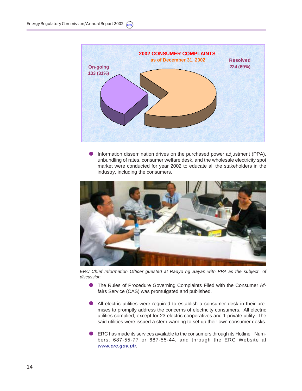

Information dissemination drives on the purchased power adjustment (PPA), unbundling of rates, consumer welfare desk, and the wholesale electricity spot market were conducted for year 2002 to educate all the stakeholders in the industry, including the consumers.



*ERC Chief Information Officer guested at Radyo ng Bayan with PPA as the subject of discussion.*

- ! The Rules of Procedure Governing Complaints Filed with the Consumer Affairs Service (CAS) was promulgated and published.
- All electric utilities were required to establish a consumer desk in their premises to promptly address the concerns of electricity consumers. All electric utilities complied, except for 23 electric cooperatives and 1 private utility. The said utilities were issued a stern warning to set up their own consumer desks.
- ! ERC has made its services available to the consumers through its Hotline Numbers: 687-55-77 or 687-55-44, and through the ERC Website at *www.erc.gov.ph*.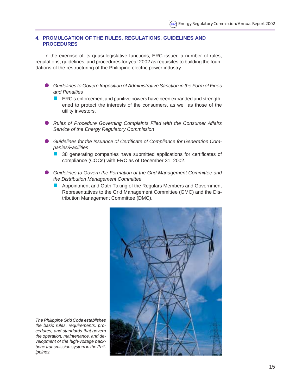### **4. PROMULGATION OF THE RULES, REGULATIONS, GUIDELINES AND PROCEDURES**

In the exercise of its quasi-legislative functions, ERC issued a number of rules, regulations, guidelines, and procedures for year 2002 as requisites to building the foundations of the restructuring of the Philippine electric power industry.

- ! *Guidelines to Govern Imposition of Administrative Sanction in the Form of Fines and Penalties*
	- **EXC's enforcement and punitive powers have been expanded and strength**ened to protect the interests of the consumers, as well as those of the utility investors.
- ! *Rules of Procedure Governing Complaints Filed with the Consumer Affairs Service of the Energy Regulatory Commission*
- ! *Guidelines for the Issuance of Certificate of Compliance for Generation Companies/Facilities*
	- ! 38 generating companies have submitted applications for certificates of compliance (COCs) with ERC as of December 31, 2002.
- ! *Guidelines to Govern the Formation of the Grid Management Committee and the Distribution Management Committee*
	- **E** Appointment and Oath Taking of the Regulars Members and Government Representatives to the Grid Management Committee (GMC) and the Distribution Management Committee (DMC).



*The Philippine Grid Code establishes the basic rules, requirements, procedures, and standards that govern the operation, maintenance, and development of the high-voltage backbone transmission system in the Philippines.*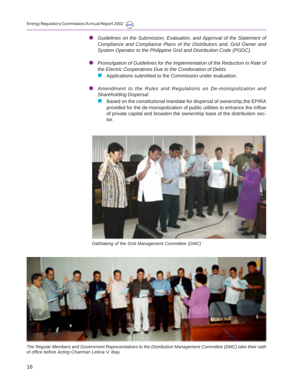- ! *Guidelines on the Submission, Evaluation, and Approval of the Statement of Compliance and Compliance Plans of the Distributors and, Grid Owner and System Operator to the Philippine Grid and Distribution Code (PGDC).*
- ! *Promulgation of Guidelines for the Implementation of the Reduction in Rate of the Electric Cooperatives Due to the Condonation of Debts*
	- **E** Applications submitted to the Commission under evaluation.
- ! *Amendment to the Rules and Regulations on De-monopolization and Shareholding Dispersal*
	- ! Based on the constitutional mandate for dispersal of ownership,the EPIRA provided for the de-monopolization of public utilities to enhance the inflow of private capital and broaden the ownership base of the distribution sector.



*Oathtaking of the Grid Management Committee (GMC)*



*The Regular Members and Government Representatives to the Distribution Management Committee (DMC) take their oath of office before Acting Chairman Leticia V. Ibay.*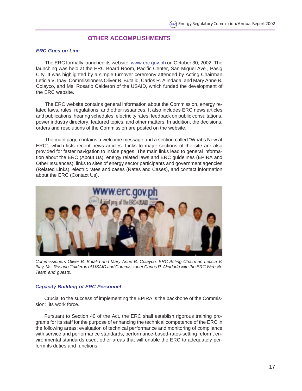## **OTHER ACCOMPLISHMENTS**

#### *ERC Goes on Line*

The ERC formally launched its website, www.erc.gov.ph on October 30, 2002. The launching was held at the ERC Board Room, Pacific Center, San Miguel Ave., Pasig City. It was highlighted by a simple turnover ceremony attended by Acting Chairman Leticia V. Ibay, Commissioners Oliver B. Butalid, Carlos R. Alindada, and Mary Anne B. Colayco, and Ms. Rosario Calderon of the USAID, which funded the development of the ERC website.

The ERC website contains general information about the Commission, energy related laws, rules, regulations, and other issuances. It also includes ERC news articles and publications, hearing schedules, electricity rates, feedback on public consultations, power industry directory, featured topics, and other matters. In addition, the decisions, orders and resolutions of the Commission are posted on the website.

The main page contains a welcome message and a section called "What's New at ERC", which lists recent news articles. Links to major sections of the site are also provided for faster navigation to inside pages. The main links lead to general information about the ERC (About Us), energy related laws and ERC guidelines (EPIRA and Other Issuances), links to sites of energy sector participants and government agencies (Related Links), electric rates and cases (Rates and Cases), and contact information about the ERC (Contact Us).



*Commissioners Oliver B. Butalid and Mary Anne B. Colayco, ERC Acting Chairman Leticia V. Ibay, Ms. Rosario Calderon of USAID and Commissioner Carlos R. Alindada with the ERC Website Team and guests.*

### *Capacity Building of ERC Personnel*

Crucial to the success of implementing the EPIRA is the backbone of the Commission: its work force.

Pursuant to Section 40 of the Act, the ERC shall establish rigorous training programs for its staff for the purpose of enhancing the technical competence of the ERC in the following areas: evaluation of technical performance and monitoring of compliance with service and performance standards, performance-based-rates-setting reform, environmental standards used, other areas that will enable the ERC to adequately perform its duties and functions.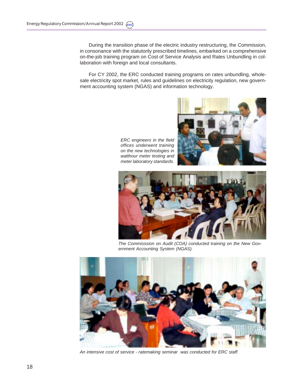During the transition phase of the electric industry restructuring, the Commission, in consonance with the statutorily prescribed timelines, embarked on a comprehensive on-the-job training program on Cost of Service Analysis and Rates Unbundling in collaboration with foreign and local consultants.

For CY 2002, the ERC conducted training programs on rates unbundling, wholesale electricity spot market, rules and guidelines on electricity regulation, new government accounting system (NGAS) and information technology.



*ERC engineers in the field offices underwent training on the new technologies in watthour meter testing and meter laboratory standards.*



*The Commisssion on Audit (COA) conducted training on the New Government Accounting System (NGAS).*



*An intensive cost of service - ratemaking seminar was conducted for ERC staff.*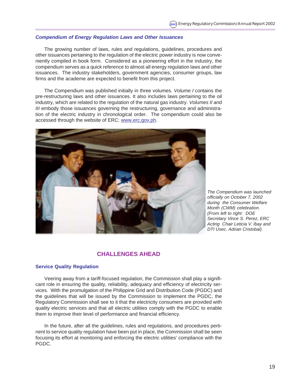## *Compendium of Energy Regulation Laws and Other Issuances*

The growing number of laws, rules and regulations, guidelines, procedures and other issuances pertaining to the regulation of the electric power industry is now conveniently compiled in book form. Considered as a pioneering effort in the industry, the compendium serves as a quick reference to almost all energy regulation laws and other issuances. The industry stakeholders, government agencies, consumer groups, law firms and the academe are expected to benefit from this project.

The Compendium was published initially in three volumes. *Volume I* contains the pre-restructuring laws and other issuances. It also includes laws pertaining to the oil industry, which are related to the regulation of the natural gas industry. *Volumes II* and *III* embody those issuances governing the restructuring, governance and administration of the electric industry in chronological order. The compendium could also be accessed through the website of ERC: www.erc.gov.ph.



*The Compendium was launched officially on October 7, 2002 during the Consumer Welfare Month (CWM) celebration. (From left to right: DOE Secretary Vince S. Perez, ERC Acting Chair Leticia V. Ibay and DTI Usec. Adrian Cristobal).*

## **CHALLENGES AHEAD**

#### **Service Quality Regulation**

Veering away from a tariff-focused regulation, the Commission shall play a significant role in ensuring the quality, reliability, adequacy and efficiency of electricity services. With the promulgation of the Philippine Grid and Distribution Code (PGDC) and the guidelines that will be issued by the Commission to implement the PGDC, the Regulatory Commission shall see to it that the electricity consumers are provided with quality electric services and that all electric utilities comply with the PGDC to enable them to improve their level of performance and financial efficiency.

In the future, after all the guidelines, rules and regulations, and procedures pertinent to service quality regulation have been put in place, the Commission shall be seen focusing its effort at monitoring and enforcing the electric utilities' compliance with the PGDC.